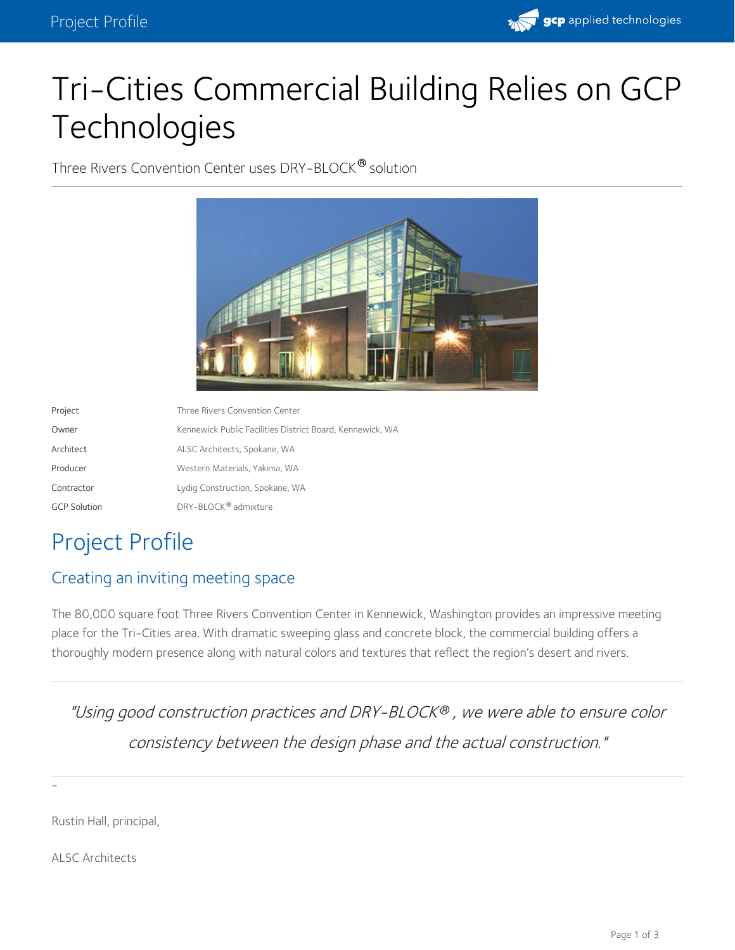

# Tri-Cities Commercial Building Relies on GCP **Technologies**

Three Rivers Convention Center uses DRY-BLOCK® solution



| Project             | Three Rivers Convention Center                            |
|---------------------|-----------------------------------------------------------|
| Owner               | Kennewick Public Facilities District Board, Kennewick, WA |
| Architect           | ALSC Architects, Spokane, WA                              |
| Producer            | Western Materials, Yakima, WA                             |
| Contractor          | Lydig Construction, Spokane, WA                           |
| <b>GCP Solution</b> | DRY-BLOCK <sup>®</sup> admixture                          |

# Project Profile

## Creating an inviting meeting space

The 80,000 square foot Three Rivers Convention Center in Kennewick, Washington provides an impressive meeting place for the Tri-Cities area. With dramatic sweeping glass and concrete block, the commercial building offers a thoroughly modern presence along with natural colors and textures that reflect the region's desert and rivers.

"Using good construction practices and DRY-BLOCK® , we were able to ensure color consistency between the design phase and the actual construction."

Rustin Hall, principal,

ALSC Architects

-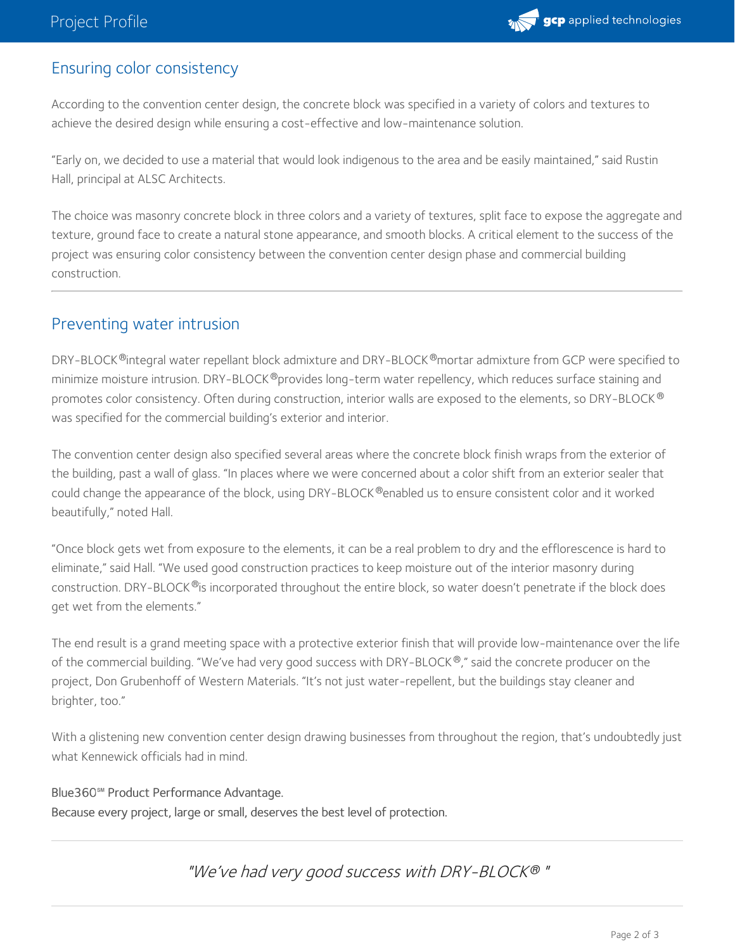

#### Ensuring color consistency

According to the convention center design, the concrete block was specified in a variety of colors and textures to achieve the desired design while ensuring a cost-effective and low-maintenance solution.

"Early on, we decided to use a material that would look indigenous to the area and be easily maintained," said Rustin Hall, principal at ALSC Architects.

The choice was masonry concrete block in three colors and a variety of textures, split face to expose the aggregate and texture, ground face to create a natural stone appearance, and smooth blocks. A critical element to the success of the project was ensuring color consistency between the convention center design phase and commercial building construction.

#### Preventing water intrusion

DRY-BLOCK®integral water repellant block admixture and DRY-BLOCK®mortar admixture from GCP were specified to minimize moisture intrusion. DRY-BLOCK®provides long-term water repellency, which reduces surface staining and promotes color consistency. Often during construction, interior walls are exposed to the elements, so DRY-BLOCK ® was specified for the commercial building's exterior and interior.

The convention center design also specified several areas where the concrete block finish wraps from the exterior of the building, past a wall of glass. "In places where we were concerned about a color shift from anexterior sealer that could change the appearance of the block, using DRY-BLOCK®enabled us to ensure consistent color and it worked beautifully," noted Hall.

"Once block gets wet from exposure to the elements, it can be a real problem to dry and the efflorescence is hard to eliminate," said Hall. "We used good construction practices to keep moisture out of the interior masonry during construction. DRY-BLOCK®is incorporated throughout the entire block, so water doesn't penetrate if the block does get wet from the elements."

The end result is a grand meeting space with a protective exterior finish that will provide low-maintenance over the life of the commercial building. "We've had very good success with DRY-BLOCK®," said the concrete producer on the project, Don Grubenhoff of Western Materials. "It's not just water-repellent, but the buildings stay cleaner and brighter, too."

With a glistening new convention center design drawing businesses from throughout the region, that's undoubtedly just what Kennewick officials had in mind.

Blue360**℠** Product Performance Advantage. Because every project, large or small, deserves the best level of protection.

"We've had very good success with DRY-BLOCK " *®*